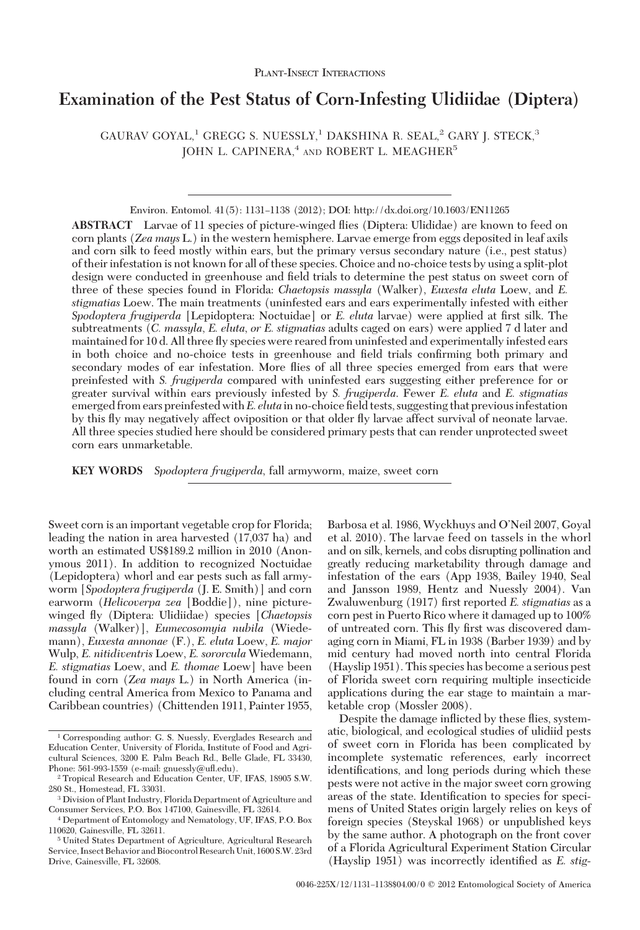# **Examination of the Pest Status of Corn-Infesting Ulidiidae (Diptera)**

GAURAV GOYAL,<sup>1</sup> GREGG S. NUESSLY,<sup>1</sup> DAKSHINA R. SEAL,<sup>2</sup> GARY J. STECK,<sup>3</sup> JOHN L. CAPINERA,<sup>4</sup> AND ROBERT L. MEAGHER<sup>5</sup>

Environ. Entomol. 41(5): 1131-1138 (2012); DOI: http://dx.doi.org/10.1603/EN11265

**ABSTRACT** Larvae of 11 species of picture-winged ßies (Diptera: Ulididae) are known to feed on corn plants (*Zea mays* L.) in the western hemisphere. Larvae emerge from eggs deposited in leaf axils and corn silk to feed mostly within ears, but the primary versus secondary nature (i.e., pest status) of their infestation is not known for all of these species. Choice and no-choice tests by using a split-plot design were conducted in greenhouse and field trials to determine the pest status on sweet corn of three of these species found in Florida: *Chaetopsis massyla* (Walker), *Euxesta eluta* Loew, and *E. stigmatias* Loew. The main treatments (uninfested ears and ears experimentally infested with either *Spodoptera frugiperda* [Lepidoptera: Noctuidae] or *E. eluta* larvae) were applied at first silk. The subtreatments (*C. massyla*, *E. eluta*, *or E. stigmatias* adults caged on ears) were applied 7 d later and maintained for 10 d. All three ßy species were reared from uninfested and experimentally infested ears in both choice and no-choice tests in greenhouse and field trials confirming both primary and secondary modes of ear infestation. More ßies of all three species emerged from ears that were preinfested with *S. frugiperda* compared with uninfested ears suggesting either preference for or greater survival within ears previously infested by *S. frugiperda*. Fewer *E. eluta* and *E. stigmatias* emerged from ears preinfested with *E. eluta* in no-choice field tests, suggesting that previous infestation by this ßy may negatively affect oviposition or that older ßy larvae affect survival of neonate larvae. All three species studied here should be considered primary pests that can render unprotected sweet corn ears unmarketable.

**KEY WORDS** *Spodoptera frugiperda*, fall armyworm, maize, sweet corn

Sweet corn is an important vegetable crop for Florida; leading the nation in area harvested (17,037 ha) and worth an estimated US\$189.2 million in 2010 (Anonymous 2011). In addition to recognized Noctuidae (Lepidoptera) whorl and ear pests such as fall armyworm [*Spodoptera frugiperda* (J. E. Smith)] and corn earworm (*Helicoverpa zea* [Boddie]), nine picturewinged ßy (Diptera: Ulidiidae) species [*Chaetopsis massyla* (Walker)], *Eumecosomyia nubila* (Wiedemann), *Euxesta annonae* (F.), *E. eluta* Loew, *E. major* Wulp, *E. nitidiventris* Loew, *E. sororcula* Wiedemann, *E. stigmatias* Loew, and *E. thomae* Loew] have been found in corn (*Zea mays* L.) in North America (including central America from Mexico to Panama and Caribbean countries) (Chittenden 1911, Painter 1955, Barbosa et al. 1986, Wyckhuys and O'Neil 2007, Goyal et al. 2010). The larvae feed on tassels in the whorl and on silk, kernels, and cobs disrupting pollination and greatly reducing marketability through damage and infestation of the ears (App 1938, Bailey 1940, Seal and Jansson 1989, Hentz and Nuessly 2004). Van Zwaluwenburg (1917) first reported *E. stigmatias* as a corn pest in Puerto Rico where it damaged up to 100% of untreated corn. This fly first was discovered damaging corn in Miami, FL in 1938 (Barber 1939) and by mid century had moved north into central Florida (Hayslip 1951). This species has become a serious pest of Florida sweet corn requiring multiple insecticide applications during the ear stage to maintain a marketable crop (Mossler 2008).

Despite the damage inßicted by these ßies, systematic, biological, and ecological studies of ulidiid pests of sweet corn in Florida has been complicated by incomplete systematic references, early incorrect identifications, and long periods during which these pests were not active in the major sweet corn growing areas of the state. Identification to species for specimens of United States origin largely relies on keys of foreign species (Steyskal 1968) or unpublished keys by the same author. A photograph on the front cover of a Florida Agricultural Experiment Station Circular (Hayslip 1951) was incorrectly identified as *E. stig-*

<sup>1</sup> Corresponding author: G. S. Nuessly, Everglades Research and Education Center, University of Florida, Institute of Food and Agricultural Sciences, 3200 E. Palm Beach Rd., Belle Glade, FL 33430, Phone: 561-993-1559 (e-mail: gnuessly@uß.edu).

<sup>2</sup> Tropical Research and Education Center, UF, IFAS, 18905 S.W. 280 St., Homestead, FL 33031.

<sup>3</sup> Division of Plant Industry, Florida Department of Agriculture and Consumer Services, P.O. Box 147100, Gainesville, FL 32614.

<sup>4</sup> Department of Entomology and Nematology, UF, IFAS, P.O. Box 110620, Gainesville, FL 32611.

<sup>5</sup> United States Department of Agriculture, Agricultural Research Service, Insect Behavior and Biocontrol Research Unit, 1600 S.W. 23rd Drive, Gainesville, FL 32608.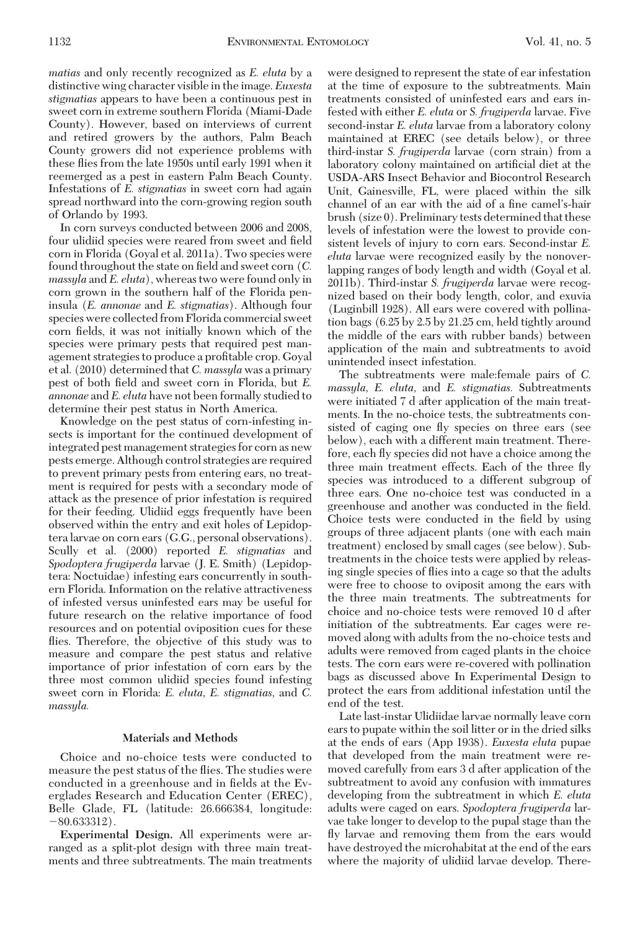*matias* and only recently recognized as *E. eluta* by a distinctive wing character visible in the image. *Euxesta stigmatias* appears to have been a continuous pest in sweet corn in extreme southern Florida (Miami-Dade County). However, based on interviews of current and retired growers by the authors, Palm Beach County growers did not experience problems with these ßies from the late 1950s until early 1991 when it reemerged as a pest in eastern Palm Beach County. Infestations of *E. stigmatias* in sweet corn had again spread northward into the corn-growing region south of Orlando by 1993.

In corn surveys conducted between 2006 and 2008, four ulidiid species were reared from sweet and field corn in Florida (Goyal et al. 2011a). Two species were found throughout the state on field and sweet corn (C. *massyla* and *E. eluta*), whereas two were found only in corn grown in the southern half of the Florida peninsula (*E. annonae* and *E. stigmatias*). Although four species were collected from Florida commercial sweet corn fields, it was not initially known which of the species were primary pests that required pest management strategies to produce a profitable crop. Goyal et al. (2010) determined that *C. massyla* was a primary pest of both field and sweet corn in Florida, but *E. annonae* and *E. eluta* have not been formally studied to determine their pest status in North America.

Knowledge on the pest status of corn-infesting insects is important for the continued development of integrated pest management strategies for corn as new pests emerge. Although control strategies are required to prevent primary pests from entering ears, no treatment is required for pests with a secondary mode of attack as the presence of prior infestation is required for their feeding. Ulidiid eggs frequently have been observed within the entry and exit holes of Lepidoptera larvae on corn ears (G.G., personal observations). Scully et al. (2000) reported *E. stigmatias* and *Spodoptera frugiperda* larvae (J. E. Smith) (Lepidoptera: Noctuidae) infesting ears concurrently in southern Florida. Information on the relative attractiveness of infested versus uninfested ears may be useful for future research on the relative importance of food resources and on potential oviposition cues for these flies. Therefore, the objective of this study was to measure and compare the pest status and relative importance of prior infestation of corn ears by the three most common ulidiid species found infesting sweet corn in Florida: *E. eluta, E. stigmatias,* and *C. massyla.*

# **Materials and Methods**

Choice and no-choice tests were conducted to measure the pest status of the ßies. The studies were conducted in a greenhouse and in fields at the Everglades Research and Education Center (EREC), Belle Glade, FL (latitude: 26.666384, longitude:  $-80.633312$ .

**Experimental Design.** All experiments were arranged as a split-plot design with three main treatments and three subtreatments. The main treatments

were designed to represent the state of ear infestation at the time of exposure to the subtreatments. Main treatments consisted of uninfested ears and ears infested with either *E. eluta* or *S. frugiperda* larvae. Five second-instar *E. eluta* larvae from a laboratory colony maintained at EREC (see details below), or three third-instar *S. frugiperda* larvae (corn strain) from a laboratory colony maintained on artificial diet at the USDA-ARS Insect Behavior and Biocontrol Research Unit, Gainesville, FL, were placed within the silk channel of an ear with the aid of a fine camel's-hair brush (size 0). Preliminary tests determined that these levels of infestation were the lowest to provide consistent levels of injury to corn ears. Second-instar *E. eluta* larvae were recognized easily by the nonoverlapping ranges of body length and width (Goyal et al. 2011b). Third-instar *S. frugiperda* larvae were recognized based on their body length, color, and exuvia (Luginbill 1928). All ears were covered with pollination bags (6.25 by 2.5 by 21.25 cm, held tightly around the middle of the ears with rubber bands) between application of the main and subtreatments to avoid unintended insect infestation.

The subtreatments were male:female pairs of *C. massyla, E. eluta,* and *E. stigmatias.* Subtreatments were initiated 7 d after application of the main treatments. In the no-choice tests, the subtreatments consisted of caging one fly species on three ears (see below), each with a different main treatment. Therefore, each ßy species did not have a choice among the three main treatment effects. Each of the three ßy species was introduced to a different subgroup of three ears. One no-choice test was conducted in a greenhouse and another was conducted in the field. Choice tests were conducted in the field by using groups of three adjacent plants (one with each main treatment) enclosed by small cages (see below). Subtreatments in the choice tests were applied by releasing single species of ßies into a cage so that the adults were free to choose to oviposit among the ears with the three main treatments. The subtreatments for choice and no-choice tests were removed 10 d after initiation of the subtreatments. Ear cages were removed along with adults from the no-choice tests and adults were removed from caged plants in the choice tests. The corn ears were re-covered with pollination bags as discussed above In Experimental Design to protect the ears from additional infestation until the end of the test.

Late last-instar Ulidiidae larvae normally leave corn ears to pupate within the soil litter or in the dried silks at the ends of ears (App 1938). *Euxesta eluta* pupae that developed from the main treatment were removed carefully from ears 3 d after application of the subtreatment to avoid any confusion with immatures developing from the subtreatment in which *E. eluta* adults were caged on ears. *Spodoptera frugiperda* larvae take longer to develop to the pupal stage than the ßy larvae and removing them from the ears would have destroyed the microhabitat at the end of the ears where the majority of ulidiid larvae develop. There-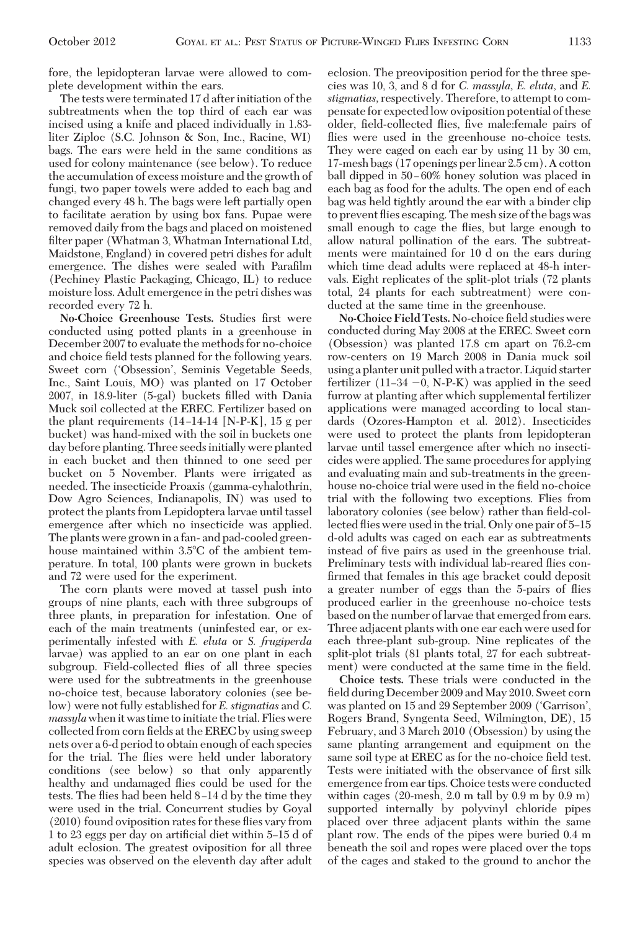fore, the lepidopteran larvae were allowed to complete development within the ears.

The tests were terminated 17 d after initiation of the subtreatments when the top third of each ear was incised using a knife and placed individually in 1.83 liter Ziploc (S.C. Johnson & Son, Inc., Racine, WI) bags. The ears were held in the same conditions as used for colony maintenance (see below). To reduce the accumulation of excess moisture and the growth of fungi, two paper towels were added to each bag and changed every 48 h. The bags were left partially open to facilitate aeration by using box fans. Pupae were removed daily from the bags and placed on moistened filter paper (Whatman 3, Whatman International Ltd, Maidstone, England) in covered petri dishes for adult emergence. The dishes were sealed with Parafilm (Pechiney Plastic Packaging, Chicago, IL) to reduce moisture loss. Adult emergence in the petri dishes was recorded every 72 h.

No-Choice Greenhouse Tests. Studies first were conducted using potted plants in a greenhouse in December 2007 to evaluate the methods for no-choice and choice field tests planned for the following years. Sweet corn ('Obsession', Seminis Vegetable Seeds, Inc., Saint Louis, MO) was planted on 17 October 2007, in 18.9-liter (5-gal) buckets filled with Dania Muck soil collected at the EREC. Fertilizer based on the plant requirements  $(14-14-14$  [N-P-K], 15 g per bucket) was hand-mixed with the soil in buckets one day before planting. Three seeds initially were planted in each bucket and then thinned to one seed per bucket on 5 November. Plants were irrigated as needed. The insecticide Proaxis (gamma-cyhalothrin, Dow Agro Sciences, Indianapolis, IN) was used to protect the plants from Lepidoptera larvae until tassel emergence after which no insecticide was applied. The plants were grown in a fan- and pad-cooled greenhouse maintained within 3.5°C of the ambient temperature. In total, 100 plants were grown in buckets and 72 were used for the experiment.

The corn plants were moved at tassel push into groups of nine plants, each with three subgroups of three plants, in preparation for infestation. One of each of the main treatments (uninfested ear, or experimentally infested with *E. eluta* or *S. frugiperda* larvae) was applied to an ear on one plant in each subgroup. Field-collected ßies of all three species were used for the subtreatments in the greenhouse no-choice test, because laboratory colonies (see below) were not fully established for *E. stigmatias* and *C. massyla* when it was time to initiate the trial. Flies were collected from corn fields at the EREC by using sweep nets over a 6-d period to obtain enough of each species for the trial. The ßies were held under laboratory conditions (see below) so that only apparently healthy and undamaged ßies could be used for the tests. The flies had been held 8–14 d by the time they were used in the trial. Concurrent studies by Goyal (2010) found oviposition rates for these ßies vary from 1 to 23 eggs per day on artificial diet within 5–15 d of adult eclosion. The greatest oviposition for all three species was observed on the eleventh day after adult

eclosion. The preoviposition period for the three species was 10, 3, and 8 d for *C. massyla, E. eluta,* and *E. stigmatias,* respectively. Therefore, to attempt to compensate for expectedlow oviposition potential of these older, field-collected flies, five male:female pairs of flies were used in the greenhouse no-choice tests. They were caged on each ear by using 11 by 30 cm, 17-mesh bags (17 openings perlinear 2.5 cm). A cotton ball dipped in 50–60% honey solution was placed in each bag as food for the adults. The open end of each bag was held tightly around the ear with a binder clip to prevent ßies escaping. The mesh size of the bags was small enough to cage the ßies, but large enough to allow natural pollination of the ears. The subtreatments were maintained for 10 d on the ears during which time dead adults were replaced at 48-h intervals. Eight replicates of the split-plot trials (72 plants total, 24 plants for each subtreatment) were conducted at the same time in the greenhouse.

No-Choice Field Tests. No-choice field studies were conducted during May 2008 at the EREC. Sweet corn (Obsession) was planted 17.8 cm apart on 76.2-cm row-centers on 19 March 2008 in Dania muck soil using a planter unit pulled with a tractor. Liquid starter fertilizer  $(11-34 - 0, N-P-K)$  was applied in the seed furrow at planting after which supplemental fertilizer applications were managed according to local standards (Ozores-Hampton et al. 2012). Insecticides were used to protect the plants from lepidopteran larvae until tassel emergence after which no insecticides were applied. The same procedures for applying and evaluating main and sub-treatments in the greenhouse no-choice trial were used in the field no-choice trial with the following two exceptions. Flies from laboratory colonies (see below) rather than field-collected flies were used in the trial. Only one pair of 5-15 d-old adults was caged on each ear as subtreatments instead of five pairs as used in the greenhouse trial. Preliminary tests with individual lab-reared ßies confirmed that females in this age bracket could deposit a greater number of eggs than the 5-pairs of ßies produced earlier in the greenhouse no-choice tests based on the number of larvae that emerged from ears. Three adjacent plants with one ear each were used for each three-plant sub-group. Nine replicates of the split-plot trials (81 plants total, 27 for each subtreatment) were conducted at the same time in the field.

**Choice tests.** These trials were conducted in the field during December 2009 and May 2010. Sweet corn was planted on 15 and 29 September 2009 ('Garrison', Rogers Brand, Syngenta Seed, Wilmington, DE), 15 February, and 3 March 2010 (Obsession) by using the same planting arrangement and equipment on the same soil type at EREC as for the no-choice field test. Tests were initiated with the observance of first silk emergence from ear tips. Choice tests were conducted within cages (20-mesh, 2.0 m tall by 0.9 m by 0.9 m) supported internally by polyvinyl chloride pipes placed over three adjacent plants within the same plant row. The ends of the pipes were buried 0.4 m beneath the soil and ropes were placed over the tops of the cages and staked to the ground to anchor the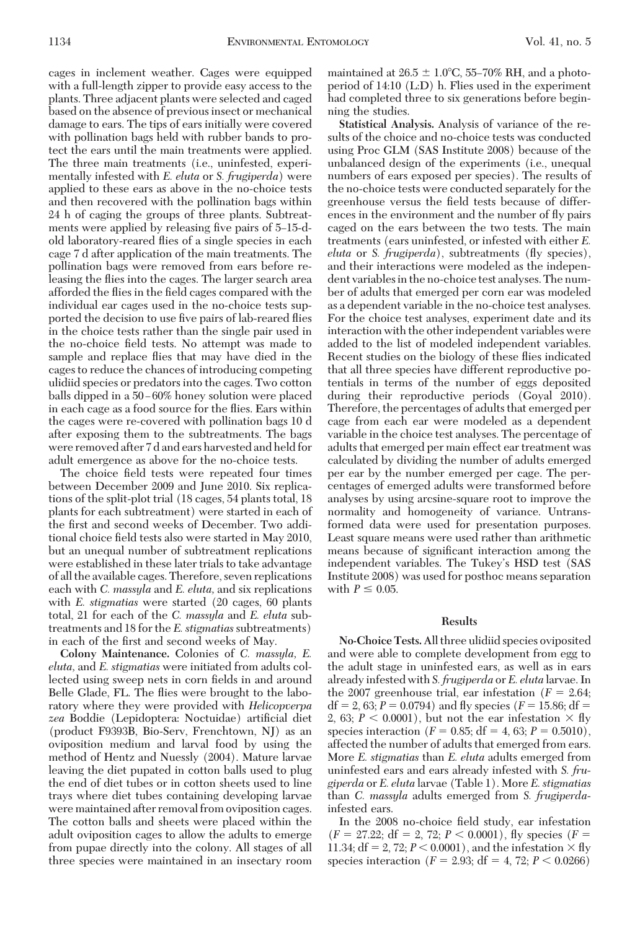cages in inclement weather. Cages were equipped with a full-length zipper to provide easy access to the plants. Three adjacent plants were selected and caged based on the absence of previous insect or mechanical damage to ears. The tips of ears initially were covered with pollination bags held with rubber bands to protect the ears until the main treatments were applied. The three main treatments (i.e., uninfested, experimentally infested with *E. eluta* or *S. frugiperda*) were applied to these ears as above in the no-choice tests and then recovered with the pollination bags within 24 h of caging the groups of three plants. Subtreatments were applied by releasing five pairs of 5–15-dold laboratory-reared ßies of a single species in each cage 7 d after application of the main treatments. The pollination bags were removed from ears before releasing the ßies into the cages. The larger search area afforded the flies in the field cages compared with the individual ear cages used in the no-choice tests supported the decision to use five pairs of lab-reared flies in the choice tests rather than the single pair used in the no-choice field tests. No attempt was made to sample and replace ßies that may have died in the cages to reduce the chances of introducing competing ulidiid species or predators into the cages. Two cotton balls dipped in a 50–60% honey solution were placed in each cage as a food source for the ßies. Ears within the cages were re-covered with pollination bags 10 d after exposing them to the subtreatments. The bags were removed after 7 d and ears harvested and held for adult emergence as above for the no-choice tests.

The choice field tests were repeated four times between December 2009 and June 2010. Six replications of the split-plot trial (18 cages, 54 plants total, 18 plants for each subtreatment) were started in each of the first and second weeks of December. Two additional choice field tests also were started in May 2010, but an unequal number of subtreatment replications were established in these later trials to take advantage of all the available cages. Therefore, seven replications each with *C. massyla* and *E. eluta,* and six replications with *E. stigmatias* were started (20 cages, 60 plants total, 21 for each of the *C. massyla* and *E. eluta* subtreatments and 18 for the *E. stigmatias*subtreatments) in each of the first and second weeks of May.

**Colony Maintenance.** Colonies of *C. massyla, E. eluta,* and *E. stigmatias* were initiated from adults collected using sweep nets in corn fields in and around Belle Glade, FL. The flies were brought to the laboratory where they were provided with *Helicopverpa* zea Boddie (Lepidoptera: Noctuidae) artificial diet (product F9393B, Bio-Serv, Frenchtown, NJ) as an oviposition medium and larval food by using the method of Hentz and Nuessly (2004). Mature larvae leaving the diet pupated in cotton balls used to plug the end of diet tubes or in cotton sheets used to line trays where diet tubes containing developing larvae were maintained after removal from oviposition cages. The cotton balls and sheets were placed within the adult oviposition cages to allow the adults to emerge from pupae directly into the colony. All stages of all three species were maintained in an insectary room

maintained at 26.5  $\pm$  1.0°C, 55–70% RH, and a photoperiod of 14:10 (L:D) h. Flies used in the experiment had completed three to six generations before beginning the studies.

**Statistical Analysis.** Analysis of variance of the results of the choice and no-choice tests was conducted using Proc GLM (SAS Institute 2008) because of the unbalanced design of the experiments (i.e., unequal numbers of ears exposed per species). The results of the no-choice tests were conducted separately for the greenhouse versus the field tests because of differences in the environment and the number of ßy pairs caged on the ears between the two tests. The main treatments (ears uninfested, or infested with either *E. eluta* or *S. frugiperda*), subtreatments (ßy species), and their interactions were modeled as the independent variables in the no-choice test analyses. The number of adults that emerged per corn ear was modeled as a dependent variable in the no-choice test analyses. For the choice test analyses, experiment date and its interaction with the other independent variables were added to the list of modeled independent variables. Recent studies on the biology of these ßies indicated that all three species have different reproductive potentials in terms of the number of eggs deposited during their reproductive periods (Goyal 2010). Therefore, the percentages of adults that emerged per cage from each ear were modeled as a dependent variable in the choice test analyses. The percentage of adults that emerged per main effect ear treatment was calculated by dividing the number of adults emerged per ear by the number emerged per cage. The percentages of emerged adults were transformed before analyses by using arcsine-square root to improve the normality and homogeneity of variance. Untransformed data were used for presentation purposes. Least square means were used rather than arithmetic means because of significant interaction among the independent variables. The Tukey's HSD test (SAS Institute 2008) was used for posthoc means separation with  $P \leq 0.05$ .

### **Results**

**No-Choice Tests.** All three ulidiid species oviposited and were able to complete development from egg to the adult stage in uninfested ears, as well as in ears already infested with *S. frugiperda* or *E. eluta* larvae. In the 2007 greenhouse trial, ear infestation  $(F = 2.64;$  $df = 2, 63; P = 0.0794$  and fly species ( $F = 15.86; df =$ 2, 63;  $P < 0.0001$ ), but not the ear infestation  $\times$  fly species interaction ( $F = 0.85$ ; df = 4, 63;  $P = 0.5010$ ), affected the number of adults that emerged from ears. More *E. stigmatias* than *E. eluta* adults emerged from uninfested ears and ears already infested with *S. frugiperda* or *E. eluta* larvae (Table 1). More *E. stigmatias* than *C. massyla* adults emerged from *S. frugiperda*infested ears.

In the 2008 no-choice field study, ear infestation  $(F = 27.22$ ; df = 2, 72;  $P < 0.0001$ ), fly species ( $F =$ 11.34;  $df = 2$ , 72;  $P < 0.0001$ ), and the infestation  $\times$  fly species interaction ( $F = 2.93$ ; df = 4, 72;  $P < 0.0266$ )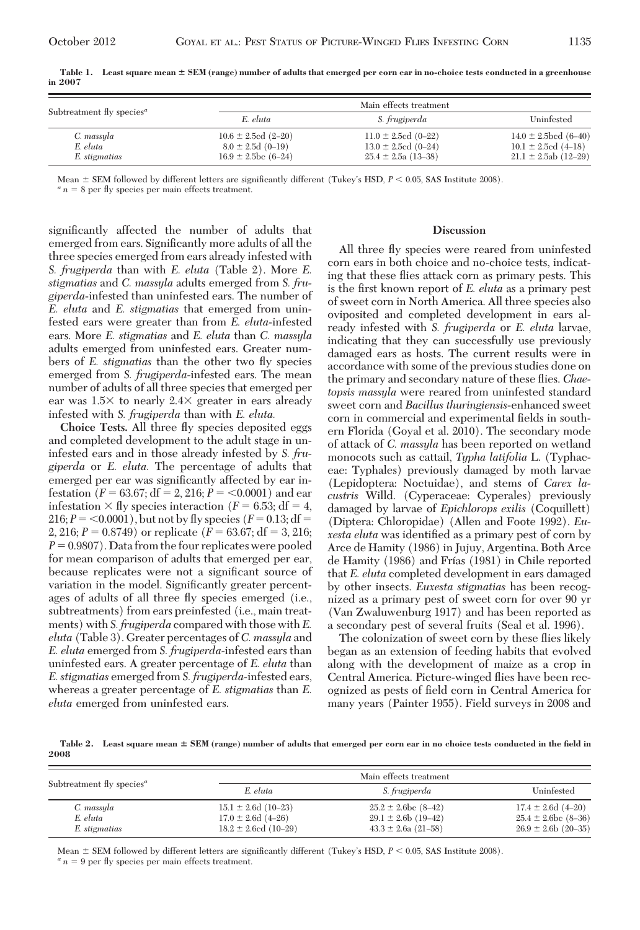| Subtreatment fly species <sup><math>a</math></sup> | Main effects treatment                                                        |                                                                                |                                                                                    |
|----------------------------------------------------|-------------------------------------------------------------------------------|--------------------------------------------------------------------------------|------------------------------------------------------------------------------------|
|                                                    | E. eluta                                                                      | S. frugiperda                                                                  | Uninfested                                                                         |
| C. massyla<br>E. eluta<br>E. stigmatias            | $10.6 \pm 2.5$ cd (2-20)<br>$8.0 \pm 2.5d$ (0-19)<br>$16.9 \pm 2.5$ bc (6-24) | $11.0 \pm 2.5$ cd (0-22)<br>$13.0 \pm 2.5$ cd (0-24)<br>$25.4 \pm 2.5a(13-38)$ | $14.0 \pm 2.5$ bcd (6–40)<br>$10.1 \pm 2.5$ cd (4–18)<br>$21.1 \pm 2.5$ ab (12-29) |

**Table 1. Least square mean SEM (range) number of adults that emerged per corn ear in no-choice tests conducted in a greenhouse in 2007**

Mean  $\pm$  SEM followed by different letters are significantly different (Tukey's HSD,  $P < 0.05$ , SAS Institute 2008). *a n* = 8 per fly species per main effects treatment.

significantly affected the number of adults that emerged from ears. Significantly more adults of all the three species emerged from ears already infested with *S. frugiperda* than with *E. eluta* (Table 2). More *E. stigmatias* and *C. massyla* adults emerged from *S. frugiperda*-infested than uninfested ears. The number of *E. eluta* and *E. stigmatias* that emerged from uninfested ears were greater than from *E. eluta*-infested ears. More *E. stigmatias* and *E. eluta* than *C. massyla* adults emerged from uninfested ears. Greater numbers of *E. stigmatias* than the other two ßy species emerged from *S. frugiperda*-infested ears. The mean number of adults of all three species that emerged per ear was  $1.5\times$  to nearly  $2.4\times$  greater in ears already infested with *S. frugiperda* than with *E. eluta.*

**Choice Tests.** All three ßy species deposited eggs and completed development to the adult stage in uninfested ears and in those already infested by *S. frugiperda* or *E. eluta.* The percentage of adults that emerged per ear was significantly affected by ear infestation  $(F = 63.67; df = 2, 216; P = <0.0001)$  and ear infestation  $\times$  fly species interaction ( $F = 6.53$ ; df = 4,  $216; P = 0.0001$ , but not by fly species ( $F = 0.13; df = 0.001$ ) 2, 216;  $P = 0.8749$ ) or replicate  $(F = 63.67; df = 3, 216;$  $P = 0.9807$ . Data from the four replicates were pooled for mean comparison of adults that emerged per ear, because replicates were not a significant source of variation in the model. Significantly greater percentages of adults of all three ßy species emerged (i.e., subtreatments) from ears preinfested (i.e., main treatments) with *S. frugiperda* compared with those with*E. eluta* (Table 3). Greater percentages of *C. massyla* and *E. eluta* emerged from *S. frugiperda*-infested ears than uninfested ears. A greater percentage of *E. eluta* than *E. stigmatias* emerged from *S. frugiperda*-infested ears, whereas a greater percentage of *E. stigmatias* than *E. eluta* emerged from uninfested ears.

#### **Discussion**

All three fly species were reared from uninfested corn ears in both choice and no-choice tests, indicating that these ßies attack corn as primary pests. This is the first known report of *E. eluta* as a primary pest of sweet corn in North America. All three species also oviposited and completed development in ears already infested with *S. frugiperda* or *E. eluta* larvae, indicating that they can successfully use previously damaged ears as hosts. The current results were in accordance with some of the previous studies done on the primary and secondary nature of these ßies. *Chaetopsis massyla* were reared from uninfested standard sweet corn and *Bacillus thuringiensis*-enhanced sweet corn in commercial and experimental fields in southern Florida (Goyal et al. 2010). The secondary mode of attack of *C. massyla* has been reported on wetland monocots such as cattail, *Typha latifolia* L. (Typhaceae: Typhales) previously damaged by moth larvae (Lepidoptera: Noctuidae), and stems of *Carex lacustris* Willd. (Cyperaceae: Cyperales) previously damaged by larvae of *Epichlorops exilis* (Coquillett) (Diptera: Chloropidae) (Allen and Foote 1992). *Euxesta eluta* was identified as a primary pest of corn by Arce de Hamity (1986) in Jujuy, Argentina. Both Arce de Hamity (1986) and Frías (1981) in Chile reported that *E. eluta* completed development in ears damaged by other insects. *Euxesta stigmatias* has been recognized as a primary pest of sweet corn for over 90 yr (Van Zwaluwenburg 1917) and has been reported as a secondary pest of several fruits (Seal et al. 1996).

The colonization of sweet corn by these flies likely began as an extension of feeding habits that evolved along with the development of maize as a crop in Central America. Picture-winged ßies have been recognized as pests of field corn in Central America for many years (Painter 1955). Field surveys in 2008 and

**Table 2. Least square mean SEM (range) number of adults that emerged per corn ear in no choice tests conducted in the field in 2008**

| Subtreatment fly species <sup><i>a</i></sup> | Main effects treatment                            |                                                      |                                                    |  |
|----------------------------------------------|---------------------------------------------------|------------------------------------------------------|----------------------------------------------------|--|
|                                              | E. eluta                                          | S. frugiperda                                        | Uninfested                                         |  |
| C. massyla<br>E. eluta                       | $15.1 \pm 2.6d$ (10-23)<br>$17.0 \pm 2.6d$ (4-26) | $25.2 \pm 2.6$ bc (8-42)<br>$29.1 \pm 2.6$ b (19-42) | $17.4 \pm 2.6d$ (4-20)<br>$25.4 \pm 2.6$ bc (8-36) |  |
| E. stigmatias                                | $18.2 \pm 2.6$ cd (10-29)                         | $43.3 \pm 2.6a$ (21-58)                              | $26.9 \pm 2.6$ b (20-35)                           |  |

Mean  $\pm$  SEM followed by different letters are significantly different (Tukey's HSD,  $P$  < 0.05, SAS Institute 2008). *a n* = 9 per fly species per main effects treatment.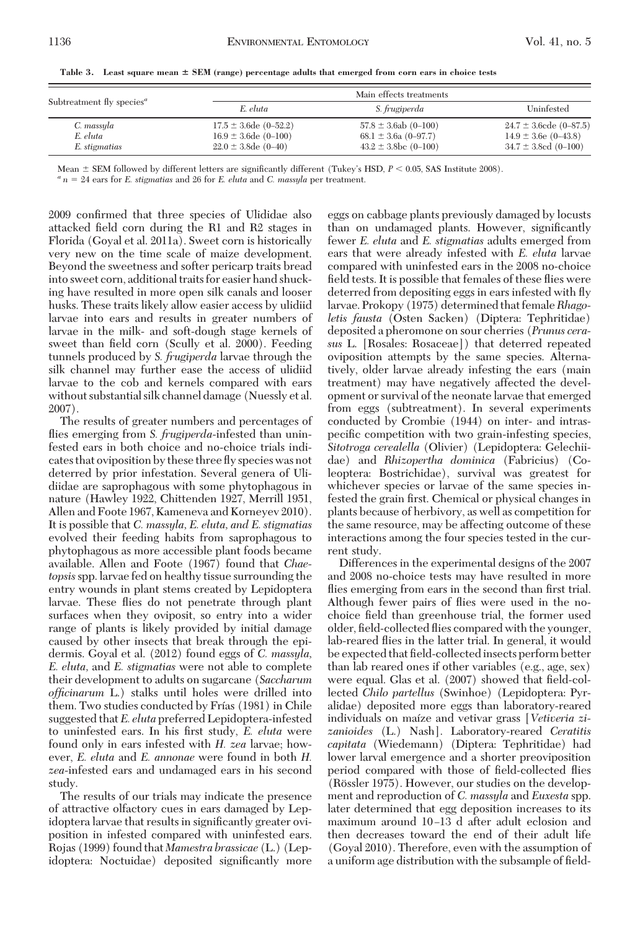| Subtreatment fly species <sup>a</sup> | Main effects treatments    |                           |                             |  |
|---------------------------------------|----------------------------|---------------------------|-----------------------------|--|
|                                       | E. eluta                   | S. frugiperda             | Uninfested                  |  |
| C. massyla                            | $17.5 \pm 3.6$ de (0-52.2) | $57.8 \pm 3.6ab$ (0-100)  | $24.7 \pm 3.6$ cde (0-87.5) |  |
| E. eluta                              | $16.9 \pm 3.6$ de (0-100)  | $68.1 \pm 3.6a$ (0-97.7)  | $14.9 \pm 3.6$ e (0-43.8)   |  |
| E. stigmatias                         | $22.0 \pm 3.8$ de (0-40)   | $43.2 \pm 3.8$ bc (0-100) | $34.7 \pm 3.8$ ed (0-100)   |  |

**Table 3. Least square mean SEM (range) percentage adults that emerged from corn ears in choice tests**

Mean  $\pm$  SEM followed by different letters are significantly different (Tukey's HSD,  $P < 0.05$ , SAS Institute 2008).<br>
" $n = 24$  ears for E. *stigmatias* and 26 for E. *eluta* and C. massula per treatment.

2009 confirmed that three species of Ulididae also attacked field corn during the R1 and R2 stages in Florida (Goyal et al. 2011a). Sweet corn is historically very new on the time scale of maize development. Beyond the sweetness and softer pericarp traits bread into sweet corn, additional traits for easier hand shucking have resulted in more open silk canals and looser husks. These traits likely allow easier access by ulidiid larvae into ears and results in greater numbers of larvae in the milk- and soft-dough stage kernels of sweet than field corn (Scully et al. 2000). Feeding tunnels produced by *S. frugiperda* larvae through the silk channel may further ease the access of ulidiid larvae to the cob and kernels compared with ears without substantial silk channel damage (Nuessly et al. 2007).

The results of greater numbers and percentages of flies emerging from *S. frugiperda*-infested than uninfested ears in both choice and no-choice trials indicates that oviposition by these three ßy species was not deterred by prior infestation. Several genera of Ulidiidae are saprophagous with some phytophagous in nature (Hawley 1922, Chittenden 1927, Merrill 1951, Allen and Foote 1967, Kameneva and Korneyev 2010). It is possible that *C. massyla, E. eluta, and E. stigmatias* evolved their feeding habits from saprophagous to phytophagous as more accessible plant foods became available. Allen and Foote (1967) found that *Chaetopsis*spp. larvae fed on healthy tissue surrounding the entry wounds in plant stems created by Lepidoptera larvae. These ßies do not penetrate through plant surfaces when they oviposit, so entry into a wider range of plants is likely provided by initial damage caused by other insects that break through the epidermis. Goyal et al. (2012) found eggs of *C. massyla, E. eluta,* and *E. stigmatias* were not able to complete their development to adults on sugarcane (*Saccharum officinarum* L.) stalks until holes were drilled into them. Two studies conducted by Frías (1981) in Chile suggested that*E. eluta* preferred Lepidoptera-infested to uninfested ears. In his first study, *E. eluta* were found only in ears infested with *H. zea* larvae; however, *E. eluta* and *E. annonae* were found in both *H. zea*-infested ears and undamaged ears in his second study.

The results of our trials may indicate the presence of attractive olfactory cues in ears damaged by Lepidoptera larvae that results in significantly greater oviposition in infested compared with uninfested ears. Rojas (1999) found that *Mamestra brassicae* (L.) (Lepidoptera: Noctuidae) deposited significantly more

eggs on cabbage plants previously damaged by locusts than on undamaged plants. However, significantly fewer *E. eluta* and *E. stigmatias* adults emerged from ears that were already infested with *E. eluta* larvae compared with uninfested ears in the 2008 no-choice field tests. It is possible that females of these flies were deterred from depositing eggs in ears infested with fly larvae. Prokopy (1975) determined that female*Rhagoletis fausta* (Osten Sacken) (Diptera: Tephritidae) deposited a pheromone on sour cherries (*Prunus cerasus* L. [Rosales: Rosaceae]) that deterred repeated oviposition attempts by the same species. Alternatively, older larvae already infesting the ears (main treatment) may have negatively affected the development or survival of the neonate larvae that emerged from eggs (subtreatment). In several experiments conducted by Crombie (1944) on inter- and intraspecific competition with two grain-infesting species, *Sitotroga cerealella* (Olivier) (Lepidoptera: Gelechiidae) and *Rhizopertha dominica* (Fabricius) (Coleoptera: Bostrichidae), survival was greatest for whichever species or larvae of the same species infested the grain first. Chemical or physical changes in plants because of herbivory, as well as competition for the same resource, may be affecting outcome of these interactions among the four species tested in the current study.

Differences in the experimental designs of the 2007 and 2008 no-choice tests may have resulted in more flies emerging from ears in the second than first trial. Although fewer pairs of ßies were used in the nochoice field than greenhouse trial, the former used older, field-collected flies compared with the younger, lab-reared ßies in the latter trial. In general, it would be expected that field-collected insects perform better than lab reared ones if other variables (e.g., age, sex) were equal. Glas et al. (2007) showed that field-collected *Chilo partellus* (Swinhoe) (Lepidoptera: Pyralidae) deposited more eggs than laboratory-reared individuals on maíze and vetivar grass [*Vetiveria zizanioides* (L.) Nash]. Laboratory-reared *Ceratitis capitata* (Wiedemann) (Diptera: Tephritidae) had lower larval emergence and a shorter preoviposition period compared with those of field-collected flies (Rössler 1975). However, our studies on the development and reproduction of *C. massyla* and *Euxesta* spp. later determined that egg deposition increases to its maximum around 10-13 d after adult eclosion and then decreases toward the end of their adult life (Goyal 2010). Therefore, even with the assumption of a uniform age distribution with the subsample of field-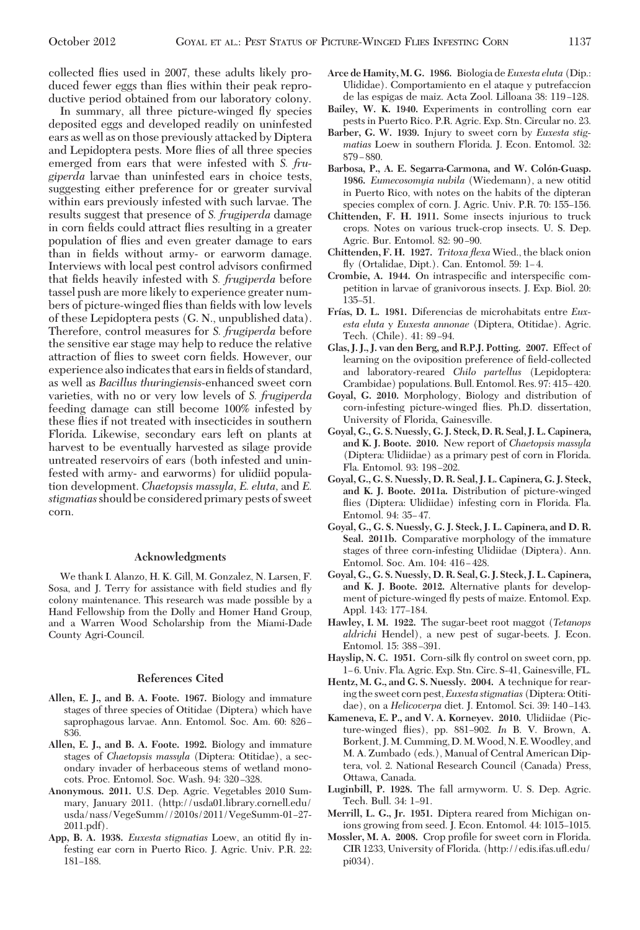collected ßies used in 2007, these adults likely produced fewer eggs than flies within their peak reproductive period obtained from our laboratory colony.

In summary, all three picture-winged ßy species deposited eggs and developed readily on uninfested ears as well as on those previously attacked by Diptera and Lepidoptera pests. More ßies of all three species emerged from ears that were infested with *S. frugiperda* larvae than uninfested ears in choice tests, suggesting either preference for or greater survival within ears previously infested with such larvae. The results suggest that presence of *S. frugiperda* damage in corn fields could attract flies resulting in a greater population of ßies and even greater damage to ears than in fields without army- or earworm damage. Interviews with local pest control advisors confirmed that fields heavily infested with *S. frugiperda* before tassel push are more likely to experience greater numbers of picture-winged flies than fields with low levels of these Lepidoptera pests (G. N., unpublished data). Therefore, control measures for *S. frugiperda* before the sensitive ear stage may help to reduce the relative attraction of flies to sweet corn fields. However, our experience also indicates that ears in fields of standard, as well as *Bacillus thuringiensis*-enhanced sweet corn varieties, with no or very low levels of *S. frugiperda* feeding damage can still become 100% infested by these ßies if not treated with insecticides in southern Florida. Likewise, secondary ears left on plants at harvest to be eventually harvested as silage provide untreated reservoirs of ears (both infested and uninfested with army- and earworms) for ulidiid population development. *Chaetopsis massyla, E. eluta,* and *E. stigmatias*should be considered primary pests of sweet corn.

#### **Acknowledgments**

We thank I. Alanzo, H. K. Gill, M. Gonzalez, N. Larsen, F. Sosa, and J. Terry for assistance with field studies and fly colony maintenance. This research was made possible by a Hand Fellowship from the Dolly and Homer Hand Group, and a Warren Wood Scholarship from the Miami-Dade County Agri-Council.

## **References Cited**

- **Allen, E. J., and B. A. Foote. 1967.** Biology and immature stages of three species of Otitidae (Diptera) which have saprophagous larvae. Ann. Entomol. Soc. Am. 60: 826 -836.
- **Allen, E. J., and B. A. Foote. 1992.** Biology and immature stages of *Chaetopsis massyla* (Diptera: Otitidae), a secondary invader of herbaceous stems of wetland monocots. Proc. Entomol. Soc. Wash. 94: 320-328.
- **Anonymous. 2011.** U.S. Dep. Agric. Vegetables 2010 Summary, January 2011. (http://usda01.library.cornell.edu/ usda/nass/VegeSumm//2010s/2011/VegeSumm-01-27-2011.pdf).
- **App, B. A. 1938.** *Euxesta stigmatias* Loew, an otitid ßy infesting ear corn in Puerto Rico. J. Agric. Univ. P.R. 22: 181-188.
- **Arce de Hamity, M. G. 1986.** Biologia de *Euxesta eluta* (Dip.: Ulididae). Comportamiento en el ataque y putrefaccion de las espigas de maiz. Acta Zool. Lilloana 38: 119-128.
- **Bailey, W. K. 1940.** Experiments in controlling corn ear pests in Puerto Rico. P.R. Agric. Exp. Stn. Circular no. 23.
- **Barber, G. W. 1939.** Injury to sweet corn by *Euxesta stigmatias* Loew in southern Florida. J. Econ. Entomol. 32: 879 – 880.
- Barbosa, P., A. E. Segarra-Carmona, and W. Colón-Guasp. **1986.** *Eumecosomyia nubila* (Wiedemann), a new otitid in Puerto Rico, with notes on the habits of the dipteran species complex of corn. J. Agric. Univ. P.R. 70: 155–156.
- **Chittenden, F. H. 1911.** Some insects injurious to truck crops. Notes on various truck-crop insects. U. S. Dep. Agric. Bur. Entomol. 82: 90-90.
- **Chittenden, F. H. 1927.** *Tritoxa flexa* Wied., the black onion fly (Ortalidae, Dipt.). Can. Entomol. 59: 1-4.
- Crombie, A. 1944. On intraspecific and interspecific competition in larvae of granivorous insects. J. Exp. Biol. 20: 135–51.
- **Frı´as, D. L. 1981.** Diferencias de microhabitats entre *Euxesta eluta* y *Euxesta annonae* (Diptera, Otitidae). Agric. Tech. (Chile). 41: 89-94.
- **Glas, J. J., J. van den Berg, and R.P.J. Potting. 2007.** Effect of learning on the oviposition preference of field-collected and laboratory-reared *Chilo partellus* (Lepidoptera: Crambidae) populations. Bull. Entomol. Res. 97: 415–420.
- **Goyal, G. 2010.** Morphology, Biology and distribution of corn-infesting picture-winged ßies. Ph.D. dissertation, University of Florida, Gainesville.
- **Goyal, G., G. S. Nuessly, G. J. Steck, D. R. Seal, J. L. Capinera, and K. J. Boote. 2010.** New report of *Chaetopsis massyla* (Diptera: Ulidiidae) as a primary pest of corn in Florida. Fla. Entomol. 93: 198-202.
- **Goyal, G., G. S. Nuessly, D. R. Seal, J. L. Capinera, G. J. Steck, and K. J. Boote. 2011a.** Distribution of picture-winged ßies (Diptera: Ulidiidae) infesting corn in Florida. Fla. Entomol. 94: 35-47.
- **Goyal, G., G. S. Nuessly, G. J. Steck, J. L. Capinera, and D. R. Seal. 2011b.** Comparative morphology of the immature stages of three corn-infesting Ulidiidae (Diptera). Ann. Entomol. Soc. Am. 104: 416-428.
- **Goyal, G., G. S. Nuessly, D. R. Seal, G. J. Steck, J. L. Capinera, and K. J. Boote. 2012.** Alternative plants for development of picture-winged ßy pests of maize. Entomol. Exp. Appl. 143: 177-184.
- **Hawley, I. M. 1922.** The sugar-beet root maggot (*Tetanops aldrichi* Hendel), a new pest of sugar-beets. J. Econ. Entomol. 15: 388–391.
- **Hayslip, N. C. 1951.** Corn-silk ßy control on sweet corn, pp. 1–6. Univ. Fla. Agric. Exp. Stn. Circ. S-41, Gainesville, FL.
- **Hentz, M. G., and G. S. Nuessly. 2004.** A technique for rearing the sweet corn pest,*Euxesta stigmatias* (Diptera: Otitidae), on a *Helicoverpa* diet. J. Entomol. Sci. 39: 140-143.
- **Kameneva, E. P., and V. A. Korneyev. 2010.** Ulidiidae (Picture-winged flies), pp. 881-902. *In* B. V. Brown, A. Borkent, J.M. Cumming, D.M.Wood, N. E.Woodley, and M. A. Zumbado (eds.), Manual of Central American Diptera, vol. 2. National Research Council (Canada) Press, Ottawa, Canada.
- **Luginbill, P. 1928.** The fall armyworm. U. S. Dep. Agric. Tech. Bull. 34: 1–91.
- **Merrill, L. G., Jr. 1951.** Diptera reared from Michigan onions growing from seed. J. Econ. Entomol. 44: 1015-1015.
- Mossler, M. A. 2008. Crop profile for sweet corn in Florida. CIR 1233, University of Florida. (http://edis.ifas.uß.edu/ pi034).